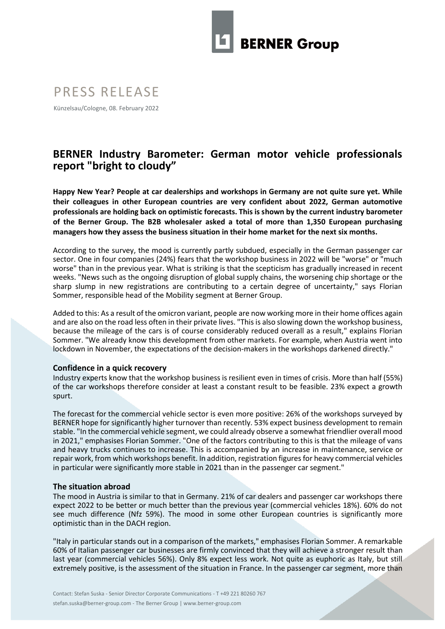

# PRESS RELEASE

Künzelsau/Cologne, 08. February 2022

## **BERNER Industry Barometer: German motor vehicle professionals report "bright to cloudy"**

**Happy New Year? People at car dealerships and workshops in Germany are not quite sure yet. While their colleagues in other European countries are very confident about 2022, German automotive professionals are holding back on optimistic forecasts. This is shown by the current industry barometer of the Berner Group. The B2B wholesaler asked a total of more than 1,350 European purchasing managers how they assess the business situation in their home market for the next six months.** 

According to the survey, the mood is currently partly subdued, especially in the German passenger car sector. One in four companies (24%) fears that the workshop business in 2022 will be "worse" or "much worse" than in the previous year. What is striking is that the scepticism has gradually increased in recent weeks. "News such as the ongoing disruption of global supply chains, the worsening chip shortage or the sharp slump in new registrations are contributing to a certain degree of uncertainty," says Florian Sommer, responsible head of the Mobility segment at Berner Group.

Added to this: As a result of the omicron variant, people are now working more in their home offices again and are also on the road less often in their private lives. "This is also slowing down the workshop business, because the mileage of the cars is of course considerably reduced overall as a result," explains Florian Sommer. "We already know this development from other markets. For example, when Austria went into lockdown in November, the expectations of the decision-makers in the workshops darkened directly."

### **Confidence in a quick recovery**

Industry experts know that the workshop business is resilient even in times of crisis. More than half (55%) of the car workshops therefore consider at least a constant result to be feasible. 23% expect a growth spurt.

The forecast for the commercial vehicle sector is even more positive: 26% of the workshops surveyed by BERNER hope for significantly higher turnover than recently. 53% expect business development to remain stable. "In the commercial vehicle segment, we could already observe a somewhat friendlier overall mood in 2021," emphasises Florian Sommer. "One of the factors contributing to this is that the mileage of vans and heavy trucks continues to increase. This is accompanied by an increase in maintenance, service or repair work, from which workshops benefit. In addition, registration figures for heavy commercial vehicles in particular were significantly more stable in 2021 than in the passenger car segment."

#### **The situation abroad**

The mood in Austria is similar to that in Germany. 21% of car dealers and passenger car workshops there expect 2022 to be better or much better than the previous year (commercial vehicles 18%). 60% do not see much difference (Nfz 59%). The mood in some other European countries is significantly more optimistic than in the DACH region.

"Italy in particular stands out in a comparison of the markets," emphasises Florian Sommer. A remarkable 60% of Italian passenger car businesses are firmly convinced that they will achieve a stronger result than last year (commercial vehicles 56%). Only 8% expect less work. Not quite as euphoric as Italy, but still extremely positive, is the assessment of the situation in France. In the passenger car segment, more than